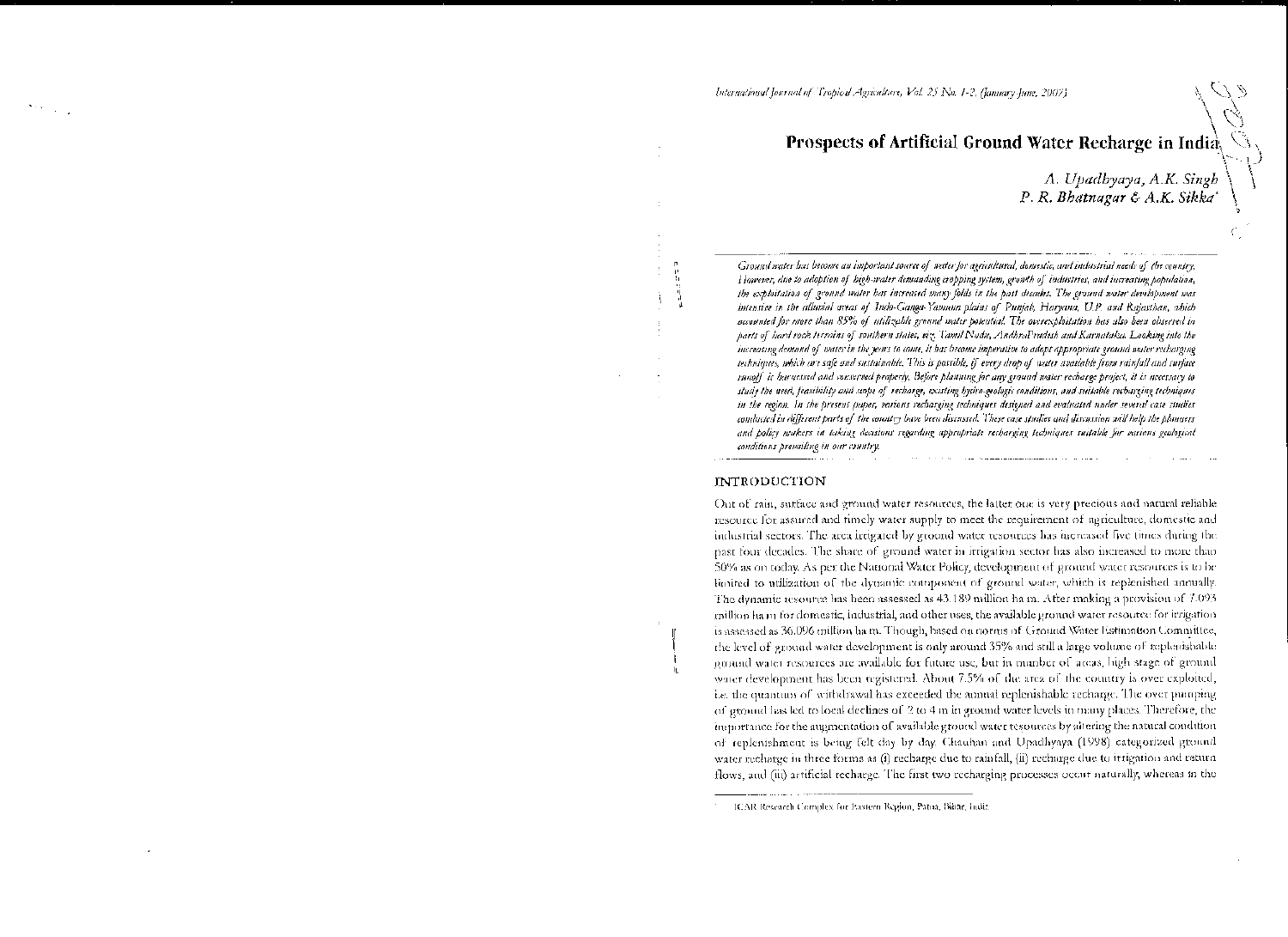# Prospects of Artificial Ground Water Recharge in India,

A. Upadbyaya, A.K. Singh<br>P. R. Bhatnagar & A.K. Sikka\*

Ground water has become an important source of water for agricultural, domestic, and industrial needs of the country. However, due to adoption of high-water demanding cropping system, growth of industries, and increasing population, the exploitation of ground water has increased many folds in the past decades. The ground water development was intensive in the alluvial areas of Indo-Canga-Yamana plains of Punjab, Haryana, U.P. and Rajasthan, which accounted for more than 85% of utilizable ground water potential. The overewploitation has also been observed in parts of bard rock terrains of southern states, viz. Tamil Nodu, AndhraPradesh and Karnataka. Looking into the increasing demand of water in the years to come, it has become imperative to adopt appropriate ground water recharging techniques, which are safe and sustainable. This is possible, if every drop of water available from rainfall and surface runoff is harnessed and conserved properly. Before planning for any ground water recharge project, it is necessary to study the need, feasibility and scope of recharge, existing hydro-geologic conditions, and suitable recharging techniques in the region. In the present juper, various recharging techniques designed and evaluated under several case studies conducted in different parts of the country have been discussed. These case studies and discussion will help the planners and policy makers in taking decisions regarding appropriate recharging techniques suitable for various geological conditions prevailing in our country.

#### **INTRODUCTION**

Out of rain, surface and ground water resources, the latter one is very precious and natural reliable resource for assured and timely water supply to meet the requirement of agriculture, domestic and industrial sectors. The area irrigated by ground water resources has increased five times during the past four decades. The share of ground water in irrigation sector has also increased to more than 50% as on today. As per the National Water Policy, development of ground water resources is to be limited to utilization of the dynamic component of ground water, which is replenished annually. The dynamic resource has been assessed as 43.189 million ha m. After making a provision of 7.093 million ham for domestic, industrial, and other uses, the available ground water resource for irrigation is assessed as 36.096 million ham. Though, hased on norms of Ground Water Estimation Committee, the level of ground water development is only around 35% and still a large volume of replenishable ground water resources are available for future use, but in number of areas, high stage of ground water development has been registered. About 7.5% of the area of the country is over exploited, i.e. the quantum of withdrawal has exceeded the annual replenishable recharge. The over pumping of ground has led to local declines of 2 to 4 m in ground water levels in many places. Therefore, the importance for the augmentation of available ground water tesources by altering the natural condition of replenishment is being felt day by day. Chauhan and Upadhyaya (1998) categorized ground water recharge in three forms as (i) recharge due to rainfall, (ii) recharge due to itrigation and return flows, and (iii) artificial recharge. The first two recharging processes occur naturally, whereas in the

<sup>-</sup> ICAR Research Complex for Ivastern Region, Patna, Bihar, India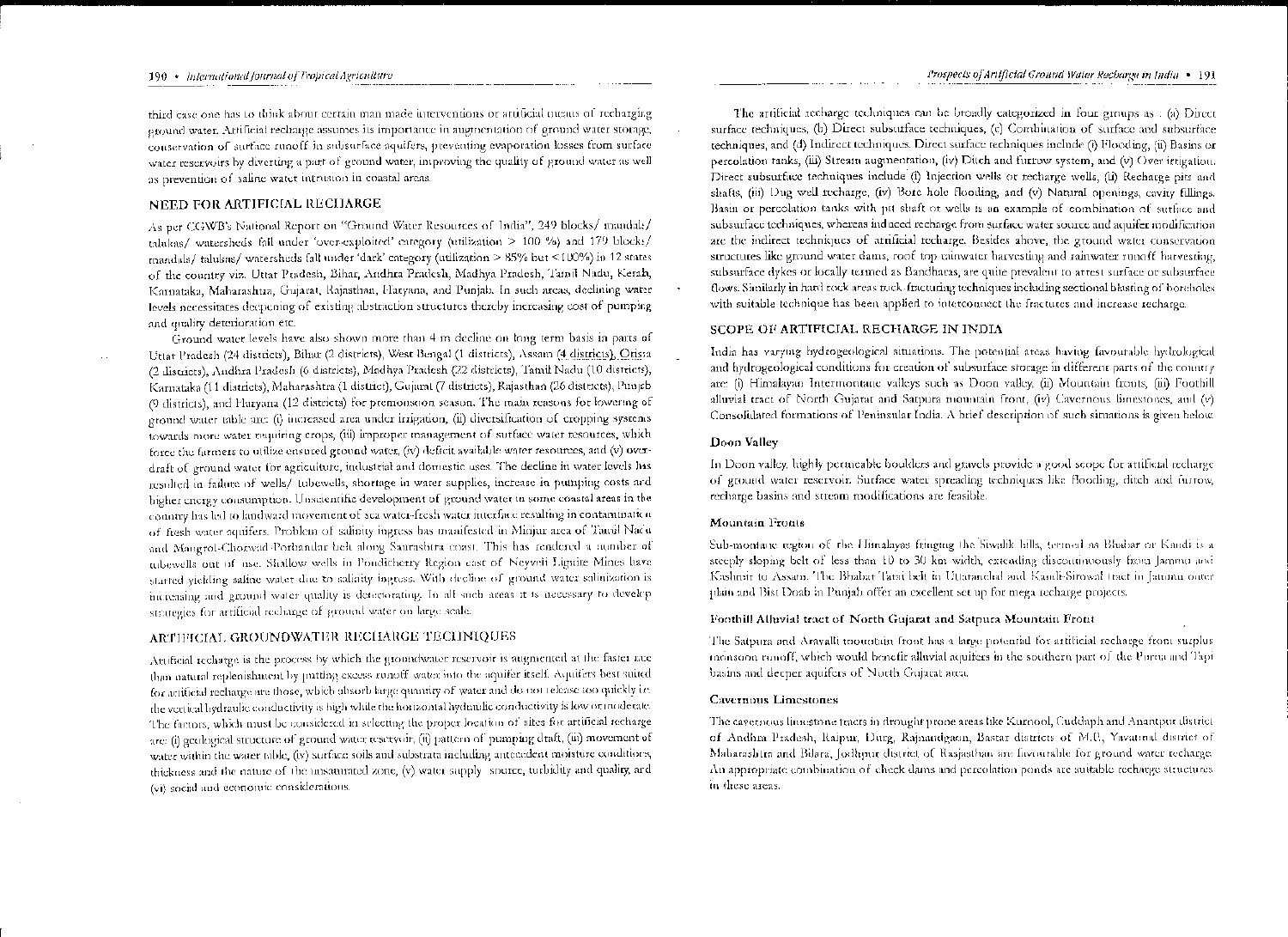#### 190 • International fournal of Tropical Agriculture

third case one has to think about certain man made interventions or artificial means of recharging ground water. Artificial recharge assumes its importance in augmentation of ground water storage, conservation of surface runoff in subsurface aquifers, preventing evaporation losses from surface water reservoirs by diverting a part of ground water, improving the quality of ground water as well as prevention of saline water intrusion in coastal areas.

## NEED FOR ARTIFICIAL RECHARGE

As per CGWB's National Report on "Ground Water Resources of India", 249 blocks/ mandals/ talakas/ watersheds fall under 'over-exploited' category (utilization > 100 %) and 179 blocks/ mandals/ talukas/ watersheds fall under 'dark' category (utilization > 85% but <100%) in 12 states of the country viz. Uttat Pradesh, Bihar, Andhra Pradesh, Madhya Pradesh, Tamil Nadu, Kerala, Karnataka, Maharashtra, Gujarat, Rajasthan, Haryana, and Punjab. In such areas, declining water levels necessitates decpening of existing abstraction structures thereby increasing cost of pumping and quality deterioration etc.

Ground water levels have also shown more than 4 m decline on long term basis in parts of Uttar Pradesh (24 districts), Bihat (2 districts), West Bengal (1 districts), Assam (4 districts), Orissa (2 districts), Andhra Pradesh (6 districts), Madhya Pradesh (22 districts), Tamil Nadu (10 districts), Karnataka (11 districts), Maharashtra (1 district), Gujarat (7 districts), Rajasthan (26 districts), Punjab (9 districts), and Harvana (12 districts) for premousoon season. The main reasons for lowering of ground water table are: (i) increased area under irrigation, (ii) diversification of cropping systems towards more water requiring crops, (iii) improper management of surface water resources, which force the farmers to utilize ensured ground water, (iv) deficit available water resources, and (v) overdraft of ground water for agriculture, industrial and domestic uses. The decline in water levels has resulted in failure of wells/ tubewells, shortage in water supplies, increase in pumping costs and bigher energy consumption. Unscientific development of ground water in some coastal areas in the country has led to landward movement of sea water-fresh water interface resulting in contamination of fresh water aquifers. Problem of salinity ingress has manifested in Minjur area of Tamil Nadu and Mangrol-Chorwad-Porbandar belt along Saurashtra coast. This has rendered a number of tubewells out of use. Shallow wells in Pondicherry Region cast of Neyveli Lignite Mines have started yielding saline water due to salinity ingress. With decline of ground water salinization is increasing and ground water quality is deteriorating. In all such areas it is necessary to develop strategies for artificial recharge of ground water on large scale.

### ARTIFICIAL GROUNDWATER RECHARGE TECHNIQUES

Attificial recharge is the process by which the groundwater reservoir is augmented at the faster rate than natural replenishment by putting excess runoff water into the aquifer itself. Aquifers best suited for attificial recharge are those, which absorb large quantity of water and do not release too quickly i.e. the vertical hydraulic conductivity is high while the horizontal hydraulic conductivity is low or moderate. The factors, which must be considered in selecting the proper location of sites for artificial recharge are: (i) geological structure of ground water resetvoir, (ii) pattern of pumping draft, (iii) movement of water within the water table, (iv) surface soils and substrata including antecedent moisture conditions, thickness and the nature of the unsaturated zone, (v) water supply source, turbidity and quality, and (vi) social and economic considerations.

The artificial recharge techniques can be broadly categorized in four groups as : (a) Direct surface techniques, (b) Direct subsurface techniques, (c) Combination of surface and subsurface techniques, and (d) Indirect techniques. Direct surface techniques include (i) Flooding, (ii) Basins or percolation tanks, (iii) Stream augmentation, (iv) Ditch and furrow system, and (v) Over irrigation. Direct subsurface techniques include (i) Injection wells or recharge wells, (ii) Recharge pits and shafts, (iii) Dug well recharge, (iv) Bore hole flooding, and (v) Natural openings, cavity fillings. Basin or percolation tanks with pit shaft of wells is an example of combination of suffice and subsurface techniques, whereas induced recharge from surface water source and aquifer modification are the indirect techniques of artificial recharge. Besides above, the ground water conservation structures like ground water dams, roof top rainwater harvesting and rainwater runoff harvesting, subsurface dykes or locally termed as Bandharas, are quite prevalent to attest surface or subsurface flows. Similarly in hard rock areas rock-fracturing techniques including sectional blasting of boreholes with suitable technique has been applied to interconnect the fractures and increase recharge.

# SCOPE OF ARTIFICIAL RECHARGE IN INDIA

India has varying hydrogeological situations. The potential areas having favourable hydrological and hydrogeological conditions for creation of subsurface storage in different parts of the country are: (i) Himalayan Intermontane valleys such as Doon valley, (ii) Mountain fronts, (iii) Foothill alluvial tract of North Gujarat and Satpura mountain front, (iv) Cavernous limestones, and (v) Consolidated formations of Peninsular India. A brief description of such situations is given below.

### Doon Valley

In Doon valley, highly pertucable boulders and gravels provide a good scope for attificial recharge of ground water reservoir. Surface water spreading techniques like flooding, ditch and furrow, recharge basins and stream modifications are feasible.

#### Mountain Fronts

Sub-montane region of the Himalayas fringing the Siwalik bills, termed as Bhabar or Kandi is a steeply sloping belt of less than 10 to 30 km width, extending discontinuously from Jammu and Kashnir to Assam. The Bhabat Tarai belt in Uttaranchal and Kandi-Sirowal tract in Janunn outer plain and Bist Doab in Punjab offer an excellent set up for mega recharge projects.

# Foothill Alluvial tract of North Gujarat and Satpura Mountain Front

The Satpura and Aravalli toountain front has a large potential for artificial recharge from surplus monsoon runoff, which would benefit allavial aquifers in the southern part of the Purna and Tapi basins and deeper aquifers of North Gujarat area.

# Cavernous Limestones

The cavetnous liniestone fracts in drought prone areas like Kurnool, Cuddaph and Anantpur district of Andhra Pradesh, Raipur, Durg, Rainandgaon, Bastar districts of M.P., Yavatinal district of Maharashtra and Bilara, Jodhyur district of Rasjasthan are favourable for ground water recharge. An appropriate combination of check dams and percolation ponds are suitable recharge structures in these areas.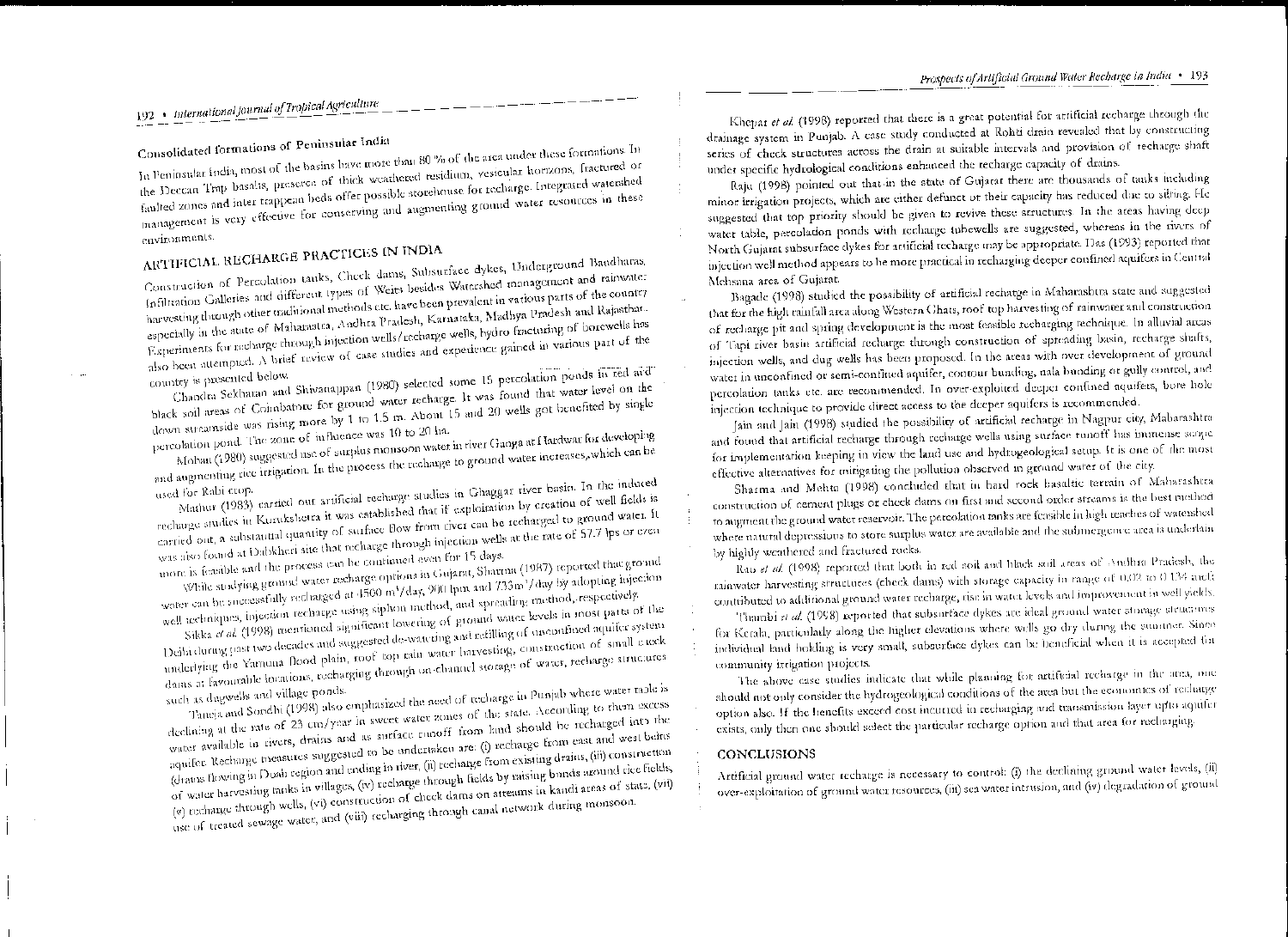# Prospects of Artificial Ground Water Recharge in India · 193

192 · International Journal of Tropical Agriculture

# Consolidated formations of Peninsular India

In Peninsular India, most of the basins have more than 80 % of the area under these formations. In the Deccan Trap basalts, preseree of thick weathered residium, vesicular horizons, fractured or faulted zones and inter trappean beds offer possible storehouse for recharge. Integrated watershed management is very effective for conserving and augmenting ground water resources in these

environments.

# ARTIFICIAL RECHARGE PRACTICES IN INDIA

Construction of Percolation tanks, Check dams, Subsurface dykes, Underground Bandharas, Infiltration Galleries and different types of Weits besides Watershed management and rainwater harvesting through other traditional methods etc. have been prevalent in various parts of the country especially in the state of Maharastra, Andhra Pradesh, Karnataka, Madhya Pradesh and Rajasthan. Experiments for recharge through injection wells/recharge wells, hydro fracturing of borewells has also been attempted. A brief review of case studies and experience gained in various part of the

Chandra Sekhatan and Shivanappan (1980) selected some 15 percolation ponds in red and country is presented below.

black soil areas of Coimbatore for ground water recharge. It was found that water level on the down streamside was rising more by 1 to 1.5 m. About 15 and 20 wells got benefited by single

percolation pond. The zone of influence was 10 to 20 ha. Mohan (1980) suggested use of surplus monsoon water in river Ganga at Hardwar for developing and augmenting rice irrigation. In the process the recharge to ground water increases, which can be

used for Rabi crop.

Mathur (1983) carried out artificial recharge studies in Ghaggar river basin. In the induced recharge studies in Kurukshetra it was established that if exploitation by creation of well fields is

carried out, a substantial quantity of surface flow from river can be recharged to ground water. It was also found at Dabkheri site that recharge through injection wells at the rate of 57.7 lps or even

more is feasible and the process can be continued even for 15 days. While studying ground water recharge options in Gujarat, Sharma (1987) reported that ground water can be successfully recharged at 4500 m<sup>1</sup>/day, 900 lpm and 733m<sup>3</sup>/day by adopting hijection

well acchaiques, injection recharge using siphon method, and spreading method, respectively. Sikka et al. (1998) meanioned significant lowering of ground water levels in most parts of the

Delhi during past two decades and suggested de-watering and refilling of unconfined aquifer system underlying the Yamuna flood plain, toof top rain water harvesting, construction of small check dams at favourable locations, recharging through on-channel storage of water, recharge structures

Thineja and Sondhi (1998) also emphasized the need of recharge in Punjab where water table is such as dugwells and village ponds.

declining at the rate of 23 cm/year in sweet water zones of the state. According to them excess water available in rivers, drains and as surface runoff from land should be recharged into the aquifer. Recharge measures suggested to be undertaken are: (i) recharge from east and west beins (drams flowing in Doab region and ending in river, (ii) recharge from existing drains, (iii) construction of water harvesting tanks in villages, (iv) recharge through fields by raising bunds around rice fields, (v) recharge through wells, (vi) construction of check dams on streams in kandi areas of state, (vii) use of treated sewage water, and (viii) recharging through canal network during monsoon.

Khepar et al. (1998) reported that there is a great potential for artificial recharge through the drainage system in Punjab. A case study conducted at Rohti drain revealed that by constructing series of check structures actoss the drain at suitable intervals and provision of recharge shaft under specific hydrological conditions enhanced the recharge capacity of drains.

Raju (1998) pointed out that in the state of Gujarat there are thousands of tanks including minor irrigation projects, which are either defunct or their capacity has reduced due to sitting. He suggested that top priority should be given to revive these structures. In the areas having deep water table, percolation ponds with recharge tubewells are suggested, whereas in the rivers of North Gujarat subsurface dykes for artificial techarge may be appropriate. Das (1993) reported that injection well method appears to be more practical in recharging deeper confined aquifers in Central Mehsana area of Gujarat.

Bagade (1998) studied the possibility of artificial rechatge in Maharashtra state and suggested that for the high rainfall area along Western Ghats, roof top harvesting of rainwater and construction of recharge pit and spring development is the most feasible recharging technique. In alluvial areas of Tapi river basin artificial recharge through construction of spreading basin, recharge shafts, injection wells, and dug wells has been proposed. In the areas with over development of ground water in unconfined or semi-confined aquifer, contour bunding, nala bunding or gully control, and percolation tanks etc. are recommended. In over-exploited deeper confined aquifers, bore hole injection technique to provide direct access to the deeper aquifers is recommended.

Jain and Jain (1998) studied the possibility of artificial recharge in Nagpur city, Mabarashtra and found that artificial recharge through recharge wells using surface tunoff has immense scope for implementation keeping in view the land use and hydrogeological setup. It is one of the most effective alternatives for mingating the pollution observed in ground water of the city.

Sharma and Mehta (1998) concluded that in hard rock basaltic terrain of Maharashtra construction of cement plugs or check dams on first and second order streams is the best method to augment the ground water reservoir. The percolation tanks are feasible in high reaches of watershed where natural depressions to store surplus water are available and the submergence area is underlain by highly weathered and fractured rocks.

Rao et al. (1998) reported that both in red soil and black soil areas of Andhra Pradesh, the rainwater harvesting structures (check dams) with storage capacity in range of 0.02 to 0.134 meth contributed to additional ground water recharge, rise in water levels and improvement in well yields.

Thambi et al. (1998) reported that subsurface dykes are ideal ground water storage structures for Kerala, particularly along the higher elevations where wells go dry during the summer. Since individual land holding is very small, subsurface dykes can be beneficial when it is accepted for community irrigation projects.

The above case studies indicate that while plauning for artificial reclarge in the area, one should not only consider the hydrogeological conditions of the area but the economics of recharge option also. If the henefits exceed cost incurred in recharging and transmission layer upto aquifer exists, only then one should select the particular recharge option and that area for recharging.

#### CONCLUSIONS

Artificial ground water recharge is necessary to control: (i) the declining ground water levels, (ii) over-exploitation of ground water resources, (iii) sea water intrusion, and (iv) degradation of ground